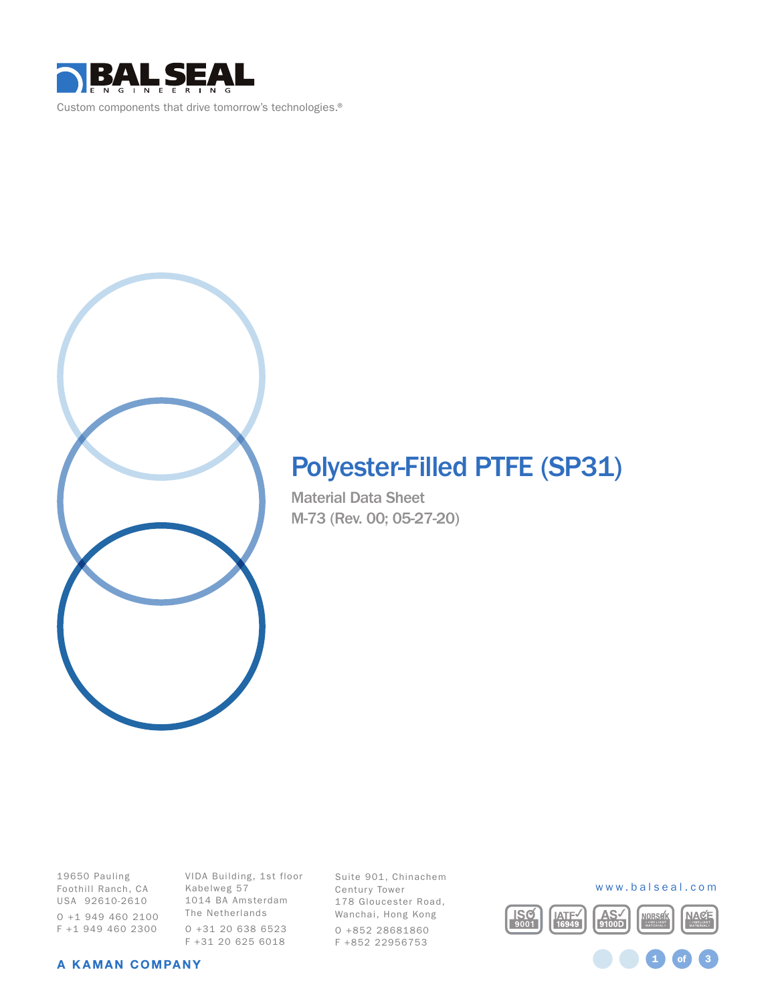

# Polyester-Filled PTFE (SP31)

Material Data Sheet M-73 (Rev. 00; 05-27-20)

19650 Pauling Foothill Ranch, CA USA 92610-2610 O +1 949 460 2100 F +1 949 460 2300

VIDA Building, 1st floor Kabelweg 57 1014 BA Amsterdam The Netherlands O +31 20 638 6523 F +31 20 625 6018

Suite 901, Chinachem Century Tower 178 Gloucester Road, Wanchai, Hong Kong O +852 28681860 F +852 22956753



1 **of** 3

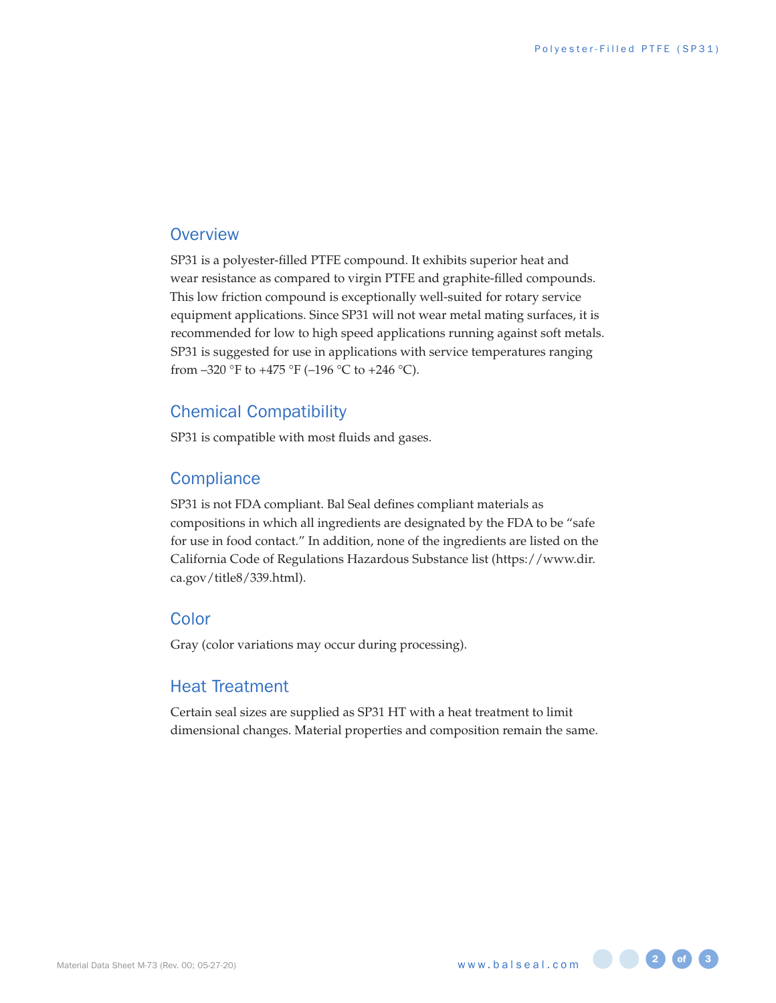#### **Overview**

SP31 is a polyester-filled PTFE compound. It exhibits superior heat and wear resistance as compared to virgin PTFE and graphite-filled compounds. This low friction compound is exceptionally well-suited for rotary service equipment applications. Since SP31 will not wear metal mating surfaces, it is recommended for low to high speed applications running against soft metals. SP31 is suggested for use in applications with service temperatures ranging from  $-320$  °F to  $+475$  °F ( $-196$  °C to  $+246$  °C).

#### Chemical Compatibility

SP31 is compatible with most fluids and gases.

#### **Compliance**

SP31 is not FDA compliant. Bal Seal defines compliant materials as compositions in which all ingredients are designated by the FDA to be "safe for use in food contact." In addition, none of the ingredients are listed on the California Code of Regulations Hazardous Substance list (https://www.dir. ca.gov/title8/339.html).

#### Color

Gray (color variations may occur during processing).

#### Heat Treatment

Certain seal sizes are supplied as SP31 HT with a heat treatment to limit dimensional changes. Material properties and composition remain the same.